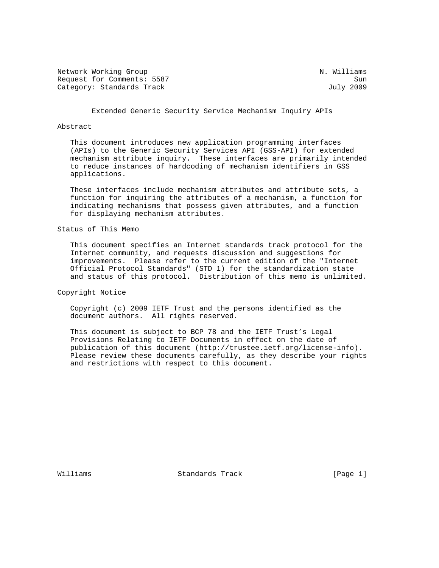Network Working Group Network Working Group N. Williams Request for Comments: 5587 Sun<br>Category: Standards Track Sun Sun Sun July 2009 Category: Standards Track

Extended Generic Security Service Mechanism Inquiry APIs

### Abstract

 This document introduces new application programming interfaces (APIs) to the Generic Security Services API (GSS-API) for extended mechanism attribute inquiry. These interfaces are primarily intended to reduce instances of hardcoding of mechanism identifiers in GSS applications.

 These interfaces include mechanism attributes and attribute sets, a function for inquiring the attributes of a mechanism, a function for indicating mechanisms that possess given attributes, and a function for displaying mechanism attributes.

## Status of This Memo

 This document specifies an Internet standards track protocol for the Internet community, and requests discussion and suggestions for improvements. Please refer to the current edition of the "Internet Official Protocol Standards" (STD 1) for the standardization state and status of this protocol. Distribution of this memo is unlimited.

Copyright Notice

 Copyright (c) 2009 IETF Trust and the persons identified as the document authors. All rights reserved.

 This document is subject to BCP 78 and the IETF Trust's Legal Provisions Relating to IETF Documents in effect on the date of publication of this document (http://trustee.ietf.org/license-info). Please review these documents carefully, as they describe your rights and restrictions with respect to this document.

Williams Standards Track [Page 1]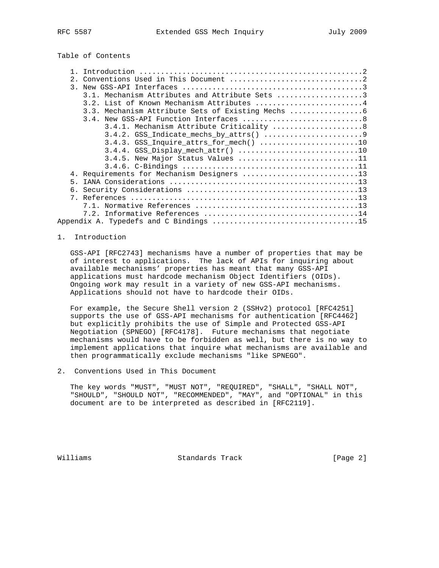Table of Contents

| 2.                                              |
|-------------------------------------------------|
|                                                 |
| 3.1. Mechanism Attributes and Attribute Sets 3  |
| 3.2. List of Known Mechanism Attributes 4       |
| 3.3. Mechanism Attribute Sets of Existing Mechs |
|                                                 |
| 3.4.1. Mechanism Attribute Criticality  8       |
|                                                 |
| 3.4.3. GSS_Inquire_attrs_for_mech() 10          |
|                                                 |
| $3.4.5$ . New Major Status Values 11            |
|                                                 |
| 4. Requirements for Mechanism Designers 13      |
| 5.                                              |
|                                                 |
|                                                 |
|                                                 |
|                                                 |
|                                                 |

## 1. Introduction

 GSS-API [RFC2743] mechanisms have a number of properties that may be of interest to applications. The lack of APIs for inquiring about available mechanisms' properties has meant that many GSS-API applications must hardcode mechanism Object Identifiers (OIDs). Ongoing work may result in a variety of new GSS-API mechanisms. Applications should not have to hardcode their OIDs.

 For example, the Secure Shell version 2 (SSHv2) protocol [RFC4251] supports the use of GSS-API mechanisms for authentication [RFC4462] but explicitly prohibits the use of Simple and Protected GSS-API Negotiation (SPNEGO) [RFC4178]. Future mechanisms that negotiate mechanisms would have to be forbidden as well, but there is no way to implement applications that inquire what mechanisms are available and then programmatically exclude mechanisms "like SPNEGO".

2. Conventions Used in This Document

 The key words "MUST", "MUST NOT", "REQUIRED", "SHALL", "SHALL NOT", "SHOULD", "SHOULD NOT", "RECOMMENDED", "MAY", and "OPTIONAL" in this document are to be interpreted as described in [RFC2119].

Williams Standards Track [Page 2]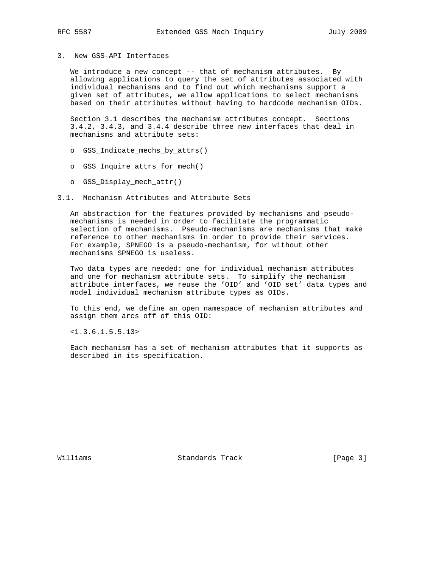## 3. New GSS-API Interfaces

We introduce a new concept -- that of mechanism attributes. By allowing applications to query the set of attributes associated with individual mechanisms and to find out which mechanisms support a given set of attributes, we allow applications to select mechanisms based on their attributes without having to hardcode mechanism OIDs.

 Section 3.1 describes the mechanism attributes concept. Sections 3.4.2, 3.4.3, and 3.4.4 describe three new interfaces that deal in mechanisms and attribute sets:

- o GSS\_Indicate\_mechs\_by\_attrs()
- o GSS\_Inquire\_attrs\_for\_mech()
- o GSS\_Display\_mech\_attr()

## 3.1. Mechanism Attributes and Attribute Sets

 An abstraction for the features provided by mechanisms and pseudo mechanisms is needed in order to facilitate the programmatic selection of mechanisms. Pseudo-mechanisms are mechanisms that make reference to other mechanisms in order to provide their services. For example, SPNEGO is a pseudo-mechanism, for without other mechanisms SPNEGO is useless.

 Two data types are needed: one for individual mechanism attributes and one for mechanism attribute sets. To simplify the mechanism attribute interfaces, we reuse the 'OID' and 'OID set' data types and model individual mechanism attribute types as OIDs.

 To this end, we define an open namespace of mechanism attributes and assign them arcs off of this OID:

<1.3.6.1.5.5.13>

 Each mechanism has a set of mechanism attributes that it supports as described in its specification.

Williams Standards Track [Page 3]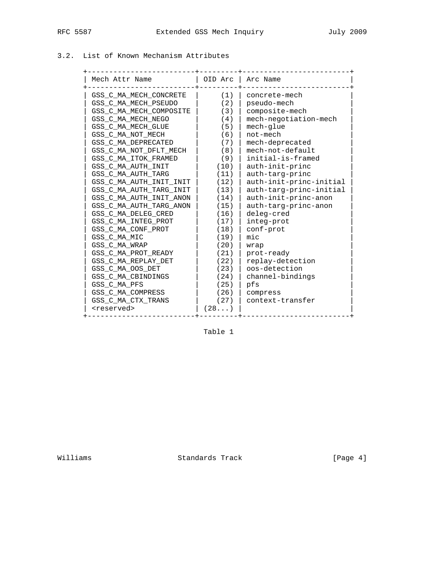# 3.2. List of Known Mechanism Attributes

| Mech Attr Name          |      | OID Arc   Arc Name      |
|-------------------------|------|-------------------------|
| GSS C MA MECH CONCRETE  | (1)  | concrete-mech           |
| GSS C MA MECH PSEUDO    | (2)  | pseudo-mech             |
| GSS C MA MECH COMPOSITE | (3)  | composite-mech          |
| GSS C MA MECH NEGO      | (4)  | mech-negotiation-mech   |
| GSS C MA MECH GLUE      | (5)  | mech-glue               |
| GSS C MA NOT MECH       | (6)  | not-mech                |
| GSS C MA DEPRECATED     | (7)  | mech-deprecated         |
| GSS C MA NOT DFLT MECH  | (8)  | mech-not-default        |
| GSS C MA ITOK FRAMED    | (9)  | initial-is-framed       |
| GSS C MA AUTH INIT      | (10) | auth-init-princ         |
| GSS C MA AUTH TARG      | (11) | auth-targ-princ         |
| GSS C MA AUTH INIT INIT | (12) | auth-init-princ-initial |
| GSS C MA AUTH TARG INIT | (13) | auth-targ-princ-initial |
| GSS C MA AUTH INIT ANON | (14) | auth-init-princ-anon    |
| GSS C MA AUTH TARG ANON | (15) | auth-targ-princ-anon    |
| GSS C MA DELEG CRED     | (16) | deleg-cred              |
| GSS C MA INTEG PROT     | (17) | integ-prot              |
| GSS C MA CONF PROT      | (18) | conf-prot               |
| GSS C MA MIC            | (19) | mic                     |
| GSS C MA WRAP           | (20) | wrap                    |
| GSS C MA PROT READY     | (21) | prot-ready              |
| GSS C MA REPLAY DET     | (22) | replay-detection        |
| GSS C MA OOS DET        | (23) | oos-detection           |
| GSS C MA CBINDINGS      | (24) | channel-bindings        |
| GSS C MA PFS            | (25) | pfs                     |
| GSS C MA COMPRESS       | (26) | compress                |
| GSS C MA CTX TRANS      | (27) | context-transfer        |
| <reserved></reserved>   | (28) |                         |

Table 1

Williams Standards Track [Page 4]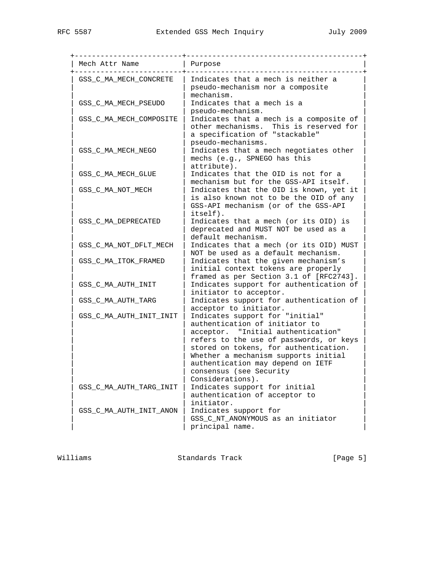+-------------------------+-----------------------------------------+ | Mech Attr Name | Purpose +-------------------------+-----------------------------------------+ GSS\_C\_MA\_MECH\_CONCRETE | Indicates that a mech is neither a | | pseudo-mechanism nor a composite | | mechanism.  $GSS_C_MA_MECH_PSEUDO$  | Indicates that a mech is a | | pseudo-mechanism. | | GSS\_C\_MA\_MECH\_COMPOSITE | Indicates that a mech is a composite of | | other mechanisms. This is reserved for  $|$  a specification of "stackable" | executo-mechanisms. | GSS\_C\_MA\_MECH\_NEGO | Indicates that a mech negotiates other | | | mechs (e.g., SPNEGO has this |  $\vert$  attribute). | GSS\_C\_MA\_MECH\_GLUE | Indicates that the OID is not for a | | | mechanism but for the GSS-API itself. | | GSS\_C\_MA\_NOT\_MECH | Indicates that the OID is known, yet it | | | | | | | is also known not to be the OID of any | | GSS-API mechanism (or of the GSS-API  $|$  itself). GSS\_C\_MA\_DEPRECATED | Indicates that a mech (or its OID) is | | deprecated and MUST NOT be used as a | default mechanism.  $GSS_C_M_A_NOT_DFLT_MECH$  | Indicates that a mech (or its OID) MUST | | NOT be used as a default mechanism. | GSS\_C\_MA\_ITOK\_FRAMED | Indicates that the given mechanism's | initial context tokens are properly | | framed as per Section 3.1 of [RFC2743]. | | GSS\_C\_MA\_AUTH\_INIT | Indicates support for authentication of | | initiator to acceptor. GSS\_C\_MA\_AUTH\_TARG | Indicates support for authentication of acceptor to initiator. | GSS\_C\_MA\_AUTH\_INIT\_INIT | Indicates support for "initial" | authentication of initiator to acceptor. "Initial authentication" refers to the use of passwords, or keys stored on tokens, for authentication. Whether a mechanism supports initial authentication may depend on IETF consensus (see Security Considerations). | GSS\_C\_MA\_AUTH\_TARG\_INIT | Indicates support for initial | authentication of acceptor to initiator. | GSS\_C\_MA\_AUTH\_INIT\_ANON | Indicates support for | | GSS\_C\_NT\_ANONYMOUS as an initiator | principal name.

Williams **Standards Track** [Page 5]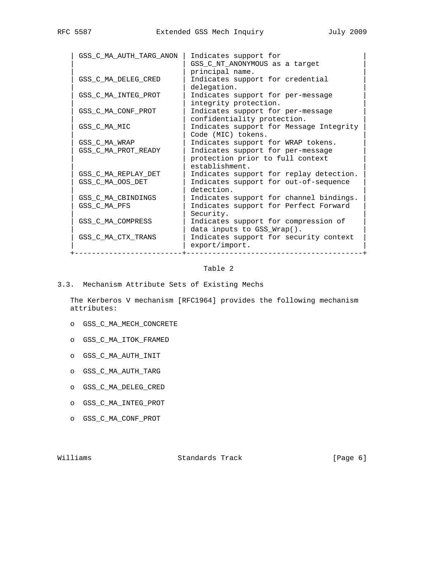| GSS_C_MA_AUTH_TARG_ANON | Indicates support for<br>GSS_C_NT_ANONYMOUS as a target                                   |
|-------------------------|-------------------------------------------------------------------------------------------|
|                         | principal name.                                                                           |
| GSS C MA DELEG CRED     | Indicates support for credential                                                          |
| GSS_C_MA_INTEG_PROT     | delegation.<br>Indicates support for per-message                                          |
| GSS C MA CONF PROT      | integrity protection.<br>Indicates support for per-message<br>confidentiality protection. |
| GSS C MA MIC            | Indicates support for Message Integrity<br>Code (MIC) tokens.                             |
| GSS C MA WRAP           | Indicates support for WRAP tokens.                                                        |
| GSS C MA PROT READY     | Indicates support for per-message                                                         |
|                         | protection prior to full context                                                          |
|                         | establishment.                                                                            |
| GSS C MA REPLAY DET     | Indicates support for replay detection.                                                   |
| GSS_C_MA_OOS_DET        | Indicates support for out-of-sequence<br>detection.                                       |
| GSS C MA CBINDINGS      | Indicates support for channel bindings.                                                   |
| GSS_C_MA_PFS            | Indicates support for Perfect Forward<br>Security.                                        |
| GSS C MA COMPRESS       | Indicates support for compression of<br>data inputs to GSS Wrap().                        |
| GSS_C_MA_CTX_TRANS      | Indicates support for security context<br>$\text{export}/\text{import}.$                  |

## Table 2

3.3. Mechanism Attribute Sets of Existing Mechs

 The Kerberos V mechanism [RFC1964] provides the following mechanism attributes:

- o GSS\_C\_MA\_MECH\_CONCRETE
- o GSS\_C\_MA\_ITOK\_FRAMED
- o GSS\_C\_MA\_AUTH\_INIT
- o GSS\_C\_MA\_AUTH\_TARG
- o GSS\_C\_MA\_DELEG\_CRED
- o GSS\_C\_MA\_INTEG\_PROT
- o GSS\_C\_MA\_CONF\_PROT

Williams Standards Track [Page 6]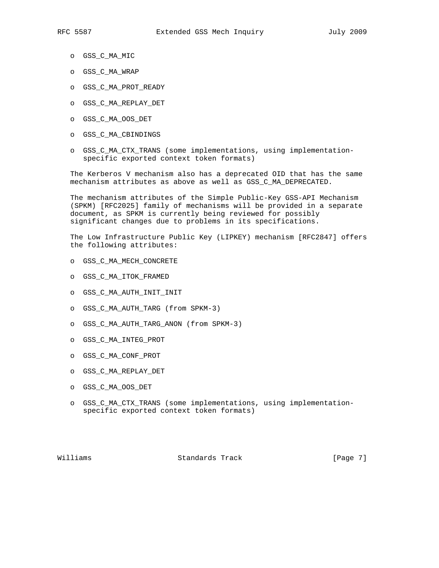- o GSS\_C\_MA\_MIC
- o GSS\_C\_MA\_WRAP
- o GSS\_C\_MA\_PROT\_READY
- o GSS\_C\_MA\_REPLAY\_DET
- o GSS\_C\_MA\_OOS\_DET
- o GSS\_C\_MA\_CBINDINGS
- o GSS\_C\_MA\_CTX\_TRANS (some implementations, using implementation specific exported context token formats)

 The Kerberos V mechanism also has a deprecated OID that has the same mechanism attributes as above as well as GSS\_C\_MA\_DEPRECATED.

 The mechanism attributes of the Simple Public-Key GSS-API Mechanism (SPKM) [RFC2025] family of mechanisms will be provided in a separate document, as SPKM is currently being reviewed for possibly significant changes due to problems in its specifications.

 The Low Infrastructure Public Key (LIPKEY) mechanism [RFC2847] offers the following attributes:

- o GSS\_C\_MA\_MECH\_CONCRETE
- o GSS\_C\_MA\_ITOK\_FRAMED
- o GSS\_C\_MA\_AUTH\_INIT\_INIT
- o GSS\_C\_MA\_AUTH\_TARG (from SPKM-3)
- o GSS\_C\_MA\_AUTH\_TARG\_ANON (from SPKM-3)
- o GSS\_C\_MA\_INTEG\_PROT
- o GSS\_C\_MA\_CONF\_PROT
- o GSS\_C\_MA\_REPLAY\_DET
- o GSS\_C\_MA\_OOS\_DET
- o GSS\_C\_MA\_CTX\_TRANS (some implementations, using implementation specific exported context token formats)

Williams **Standards Track** [Page 7]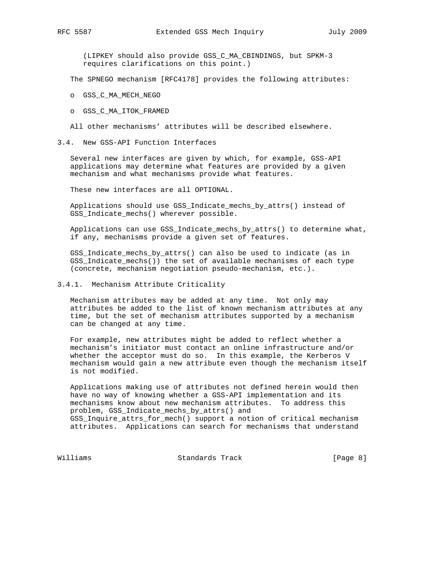(LIPKEY should also provide GSS\_C\_MA\_CBINDINGS, but SPKM-3 requires clarifications on this point.)

The SPNEGO mechanism [RFC4178] provides the following attributes:

## o GSS\_C\_MA\_MECH\_NEGO

o GSS\_C\_MA\_ITOK\_FRAMED

All other mechanisms' attributes will be described elsewhere.

## 3.4. New GSS-API Function Interfaces

 Several new interfaces are given by which, for example, GSS-API applications may determine what features are provided by a given mechanism and what mechanisms provide what features.

These new interfaces are all OPTIONAL.

 Applications should use GSS\_Indicate\_mechs\_by\_attrs() instead of GSS\_Indicate\_mechs() wherever possible.

 Applications can use GSS\_Indicate\_mechs\_by\_attrs() to determine what, if any, mechanisms provide a given set of features.

 GSS\_Indicate\_mechs\_by\_attrs() can also be used to indicate (as in GSS\_Indicate\_mechs()) the set of available mechanisms of each type (concrete, mechanism negotiation pseudo-mechanism, etc.).

#### 3.4.1. Mechanism Attribute Criticality

 Mechanism attributes may be added at any time. Not only may attributes be added to the list of known mechanism attributes at any time, but the set of mechanism attributes supported by a mechanism can be changed at any time.

 For example, new attributes might be added to reflect whether a mechanism's initiator must contact an online infrastructure and/or whether the acceptor must do so. In this example, the Kerberos V mechanism would gain a new attribute even though the mechanism itself is not modified.

 Applications making use of attributes not defined herein would then have no way of knowing whether a GSS-API implementation and its mechanisms know about new mechanism attributes. To address this problem, GSS\_Indicate\_mechs\_by\_attrs() and GSS\_Inquire\_attrs\_for\_mech() support a notion of critical mechanism attributes. Applications can search for mechanisms that understand

Williams Standards Track [Page 8]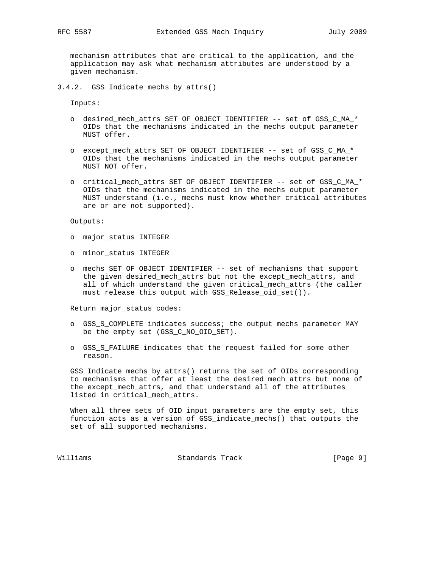mechanism attributes that are critical to the application, and the application may ask what mechanism attributes are understood by a given mechanism.

3.4.2. GSS\_Indicate\_mechs\_by\_attrs()

Inputs:

- o desired\_mech\_attrs SET OF OBJECT IDENTIFIER -- set of GSS\_C\_MA\_\* OIDs that the mechanisms indicated in the mechs output parameter MUST offer.
- o except\_mech\_attrs SET OF OBJECT IDENTIFIER -- set of GSS\_C\_MA\_\* OIDs that the mechanisms indicated in the mechs output parameter MUST NOT offer.
- o critical\_mech\_attrs SET OF OBJECT IDENTIFIER -- set of GSS\_C\_MA\_\* OIDs that the mechanisms indicated in the mechs output parameter MUST understand (i.e., mechs must know whether critical attributes are or are not supported).

Outputs:

- o major\_status INTEGER
- o minor\_status INTEGER
- o mechs SET OF OBJECT IDENTIFIER -- set of mechanisms that support the given desired\_mech\_attrs but not the except\_mech\_attrs, and all of which understand the given critical\_mech\_attrs (the caller must release this output with GSS\_Release\_oid\_set()).

Return major\_status codes:

- o GSS\_S\_COMPLETE indicates success; the output mechs parameter MAY be the empty set (GSS\_C\_NO\_OID\_SET).
- o GSS\_S\_FAILURE indicates that the request failed for some other reason.

 GSS\_Indicate\_mechs\_by\_attrs() returns the set of OIDs corresponding to mechanisms that offer at least the desired\_mech\_attrs but none of the except\_mech\_attrs, and that understand all of the attributes listed in critical\_mech\_attrs.

 When all three sets of OID input parameters are the empty set, this function acts as a version of GSS\_indicate\_mechs() that outputs the set of all supported mechanisms.

Williams **Standards Track** [Page 9]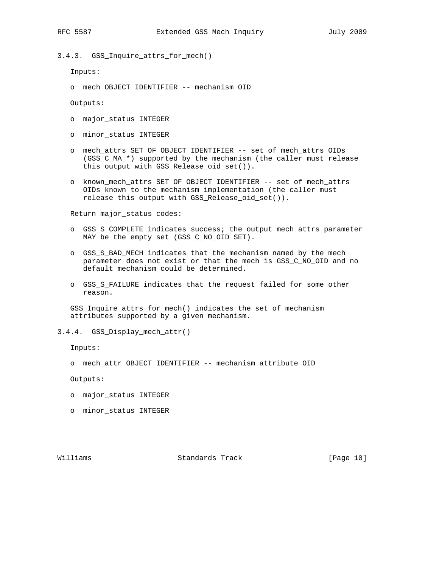- 
- 3.4.3. GSS\_Inquire\_attrs\_for\_mech()

Inputs:

o mech OBJECT IDENTIFIER -- mechanism OID

Outputs:

- o major\_status INTEGER
- o minor\_status INTEGER
- o mech\_attrs SET OF OBJECT IDENTIFIER -- set of mech\_attrs OIDs (GSS\_C\_MA\_\*) supported by the mechanism (the caller must release this output with GSS\_Release\_oid\_set()).
- o known\_mech\_attrs SET OF OBJECT IDENTIFIER -- set of mech\_attrs OIDs known to the mechanism implementation (the caller must release this output with GSS\_Release\_oid\_set()).

Return major\_status codes:

- o GSS\_S\_COMPLETE indicates success; the output mech\_attrs parameter MAY be the empty set (GSS\_C\_NO\_OID\_SET).
- o GSS\_S\_BAD\_MECH indicates that the mechanism named by the mech parameter does not exist or that the mech is GSS\_C\_NO\_OID and no default mechanism could be determined.
- o GSS\_S\_FAILURE indicates that the request failed for some other reason.

 GSS\_Inquire\_attrs\_for\_mech() indicates the set of mechanism attributes supported by a given mechanism.

3.4.4. GSS\_Display\_mech\_attr()

Inputs:

o mech\_attr OBJECT IDENTIFIER -- mechanism attribute OID

Outputs:

- o major\_status INTEGER
- o minor\_status INTEGER

Williams Standards Track [Page 10]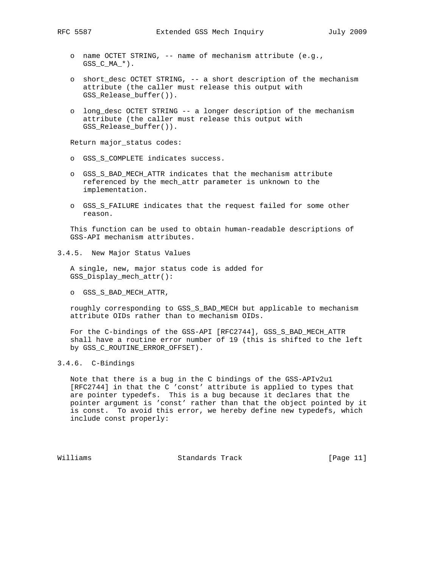- o name OCTET STRING, -- name of mechanism attribute (e.g.,  $GSS_C_MA^*$ .
- o short\_desc OCTET STRING, -- a short description of the mechanism attribute (the caller must release this output with GSS\_Release\_buffer()).
- o long\_desc OCTET STRING -- a longer description of the mechanism attribute (the caller must release this output with GSS Release buffer()).

Return major\_status codes:

- o GSS\_S\_COMPLETE indicates success.
- o GSS\_S\_BAD\_MECH\_ATTR indicates that the mechanism attribute referenced by the mech\_attr parameter is unknown to the implementation.
- o GSS\_S\_FAILURE indicates that the request failed for some other reason.

 This function can be used to obtain human-readable descriptions of GSS-API mechanism attributes.

3.4.5. New Major Status Values

 A single, new, major status code is added for GSS\_Display\_mech\_attr():

o GSS\_S\_BAD\_MECH\_ATTR,

 roughly corresponding to GSS\_S\_BAD\_MECH but applicable to mechanism attribute OIDs rather than to mechanism OIDs.

 For the C-bindings of the GSS-API [RFC2744], GSS\_S\_BAD\_MECH\_ATTR shall have a routine error number of 19 (this is shifted to the left by GSS\_C\_ROUTINE\_ERROR\_OFFSET).

# 3.4.6. C-Bindings

 Note that there is a bug in the C bindings of the GSS-APIv2u1 [RFC2744] in that the C 'const' attribute is applied to types that are pointer typedefs. This is a bug because it declares that the pointer argument is 'const' rather than that the object pointed by it is const. To avoid this error, we hereby define new typedefs, which include const properly:

Williams Standards Track [Page 11]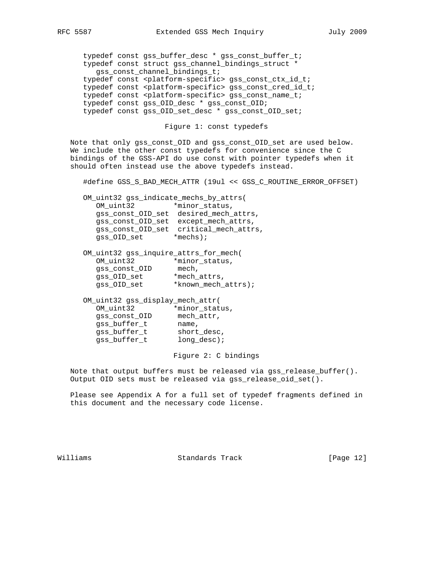typedef const gss\_buffer\_desc \* gss\_const\_buffer\_t; typedef const struct gss\_channel\_bindings\_struct \* gss\_const\_channel\_bindings\_t; typedef const <platform-specific> gss\_const\_ctx\_id\_t; typedef const <platform-specific> gss\_const\_cred\_id\_t; typedef const <platform-specific> gss\_const\_name\_t; typedef const gss\_OID\_desc \* gss\_const\_OID; typedef const gss\_OID\_set\_desc \* gss\_const\_OID\_set;

Figure 1: const typedefs

 Note that only gss\_const\_OID and gss\_const\_OID\_set are used below. We include the other const typedefs for convenience since the C bindings of the GSS-API do use const with pointer typedefs when it should often instead use the above typedefs instead.

#define GSS\_S\_BAD\_MECH\_ATTR (19ul << GSS\_C\_ROUTINE\_ERROR\_OFFSET)

 OM\_uint32 gss\_indicate\_mechs\_by\_attrs( OM\_uint32 \*minor\_status, gss\_const\_OID\_set desired\_mech\_attrs, gss\_const\_OID\_set except\_mech\_attrs, gss\_const\_OID\_set critical\_mech\_attrs, gss\_OID\_set \*mechs);

|               | OM uint32 gss inquire attrs for mech( |
|---------------|---------------------------------------|
| OM uint32     | *minor status,                        |
| gss const OID | mech,                                 |
| gss_OID_set   | *mech attrs,                          |
| gss OID set   | *known mech attrs);                   |

| OM_uint32 gss_display_mech_attr( |  |  |  |
|----------------------------------|--|--|--|
| *minor_status,                   |  |  |  |
| mech attr,                       |  |  |  |
| name,                            |  |  |  |
| short desc,                      |  |  |  |
| $long\_desc$ ;                   |  |  |  |
|                                  |  |  |  |

Figure 2: C bindings

 Note that output buffers must be released via gss\_release\_buffer(). Output OID sets must be released via gss\_release\_oid\_set().

 Please see Appendix A for a full set of typedef fragments defined in this document and the necessary code license.

Williams Standards Track [Page 12]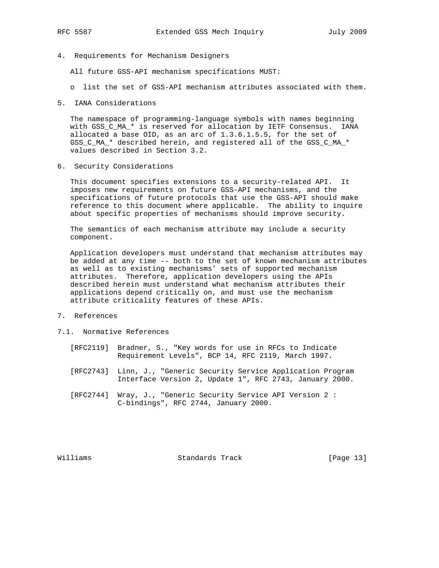4. Requirements for Mechanism Designers

All future GSS-API mechanism specifications MUST:

- o list the set of GSS-API mechanism attributes associated with them.
- 5. IANA Considerations

 The namespace of programming-language symbols with names beginning with GSS\_C\_MA\_\* is reserved for allocation by IETF Consensus. IANA allocated a base OID, as an arc of 1.3.6.1.5.5, for the set of GSS\_C\_MA\_\* described herein, and registered all of the GSS\_C\_MA\_\* values described in Section 3.2.

6. Security Considerations

 This document specifies extensions to a security-related API. It imposes new requirements on future GSS-API mechanisms, and the specifications of future protocols that use the GSS-API should make reference to this document where applicable. The ability to inquire about specific properties of mechanisms should improve security.

 The semantics of each mechanism attribute may include a security component.

 Application developers must understand that mechanism attributes may be added at any time -- both to the set of known mechanism attributes as well as to existing mechanisms' sets of supported mechanism attributes. Therefore, application developers using the APIs described herein must understand what mechanism attributes their applications depend critically on, and must use the mechanism attribute criticality features of these APIs.

- 7. References
- 7.1. Normative References
	- [RFC2119] Bradner, S., "Key words for use in RFCs to Indicate Requirement Levels", BCP 14, RFC 2119, March 1997.
	- [RFC2743] Linn, J., "Generic Security Service Application Program Interface Version 2, Update 1", RFC 2743, January 2000.
	- [RFC2744] Wray, J., "Generic Security Service API Version 2 : C-bindings", RFC 2744, January 2000.

Williams Standards Track [Page 13]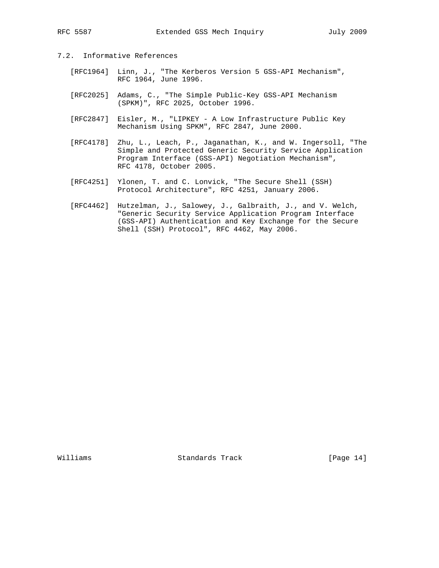- 7.2. Informative References
- [RFC1964] Linn, J., "The Kerberos Version 5 GSS-API Mechanism", RFC 1964, June 1996.
	- [RFC2025] Adams, C., "The Simple Public-Key GSS-API Mechanism (SPKM)", RFC 2025, October 1996.
	- [RFC2847] Eisler, M., "LIPKEY A Low Infrastructure Public Key Mechanism Using SPKM", RFC 2847, June 2000.
	- [RFC4178] Zhu, L., Leach, P., Jaganathan, K., and W. Ingersoll, "The Simple and Protected Generic Security Service Application Program Interface (GSS-API) Negotiation Mechanism", RFC 4178, October 2005.
	- [RFC4251] Ylonen, T. and C. Lonvick, "The Secure Shell (SSH) Protocol Architecture", RFC 4251, January 2006.
	- [RFC4462] Hutzelman, J., Salowey, J., Galbraith, J., and V. Welch, "Generic Security Service Application Program Interface (GSS-API) Authentication and Key Exchange for the Secure Shell (SSH) Protocol", RFC 4462, May 2006.

Williams Standards Track [Page 14]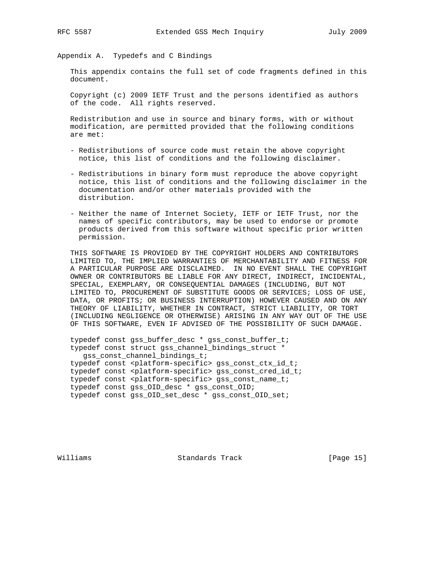Appendix A. Typedefs and C Bindings

 This appendix contains the full set of code fragments defined in this document.

 Copyright (c) 2009 IETF Trust and the persons identified as authors of the code. All rights reserved.

 Redistribution and use in source and binary forms, with or without modification, are permitted provided that the following conditions are met:

- Redistributions of source code must retain the above copyright notice, this list of conditions and the following disclaimer.
- Redistributions in binary form must reproduce the above copyright notice, this list of conditions and the following disclaimer in the documentation and/or other materials provided with the distribution.
- Neither the name of Internet Society, IETF or IETF Trust, nor the names of specific contributors, may be used to endorse or promote products derived from this software without specific prior written permission.

 THIS SOFTWARE IS PROVIDED BY THE COPYRIGHT HOLDERS AND CONTRIBUTORS LIMITED TO, THE IMPLIED WARRANTIES OF MERCHANTABILITY AND FITNESS FOR A PARTICULAR PURPOSE ARE DISCLAIMED. IN NO EVENT SHALL THE COPYRIGHT OWNER OR CONTRIBUTORS BE LIABLE FOR ANY DIRECT, INDIRECT, INCIDENTAL, SPECIAL, EXEMPLARY, OR CONSEQUENTIAL DAMAGES (INCLUDING, BUT NOT LIMITED TO, PROCUREMENT OF SUBSTITUTE GOODS OR SERVICES; LOSS OF USE, DATA, OR PROFITS; OR BUSINESS INTERRUPTION) HOWEVER CAUSED AND ON ANY THEORY OF LIABILITY, WHETHER IN CONTRACT, STRICT LIABILITY, OR TORT (INCLUDING NEGLIGENCE OR OTHERWISE) ARISING IN ANY WAY OUT OF THE USE OF THIS SOFTWARE, EVEN IF ADVISED OF THE POSSIBILITY OF SUCH DAMAGE.

 typedef const gss\_buffer\_desc \* gss\_const\_buffer\_t; typedef const struct gss\_channel\_bindings\_struct \* gss\_const\_channel\_bindings\_t; typedef const <platform-specific> gss\_const\_ctx\_id\_t; typedef const <platform-specific> gss\_const\_cred\_id\_t; typedef const <platform-specific> gss\_const\_name\_t; typedef const gss\_OID\_desc \* gss\_const\_OID; typedef const gss\_OID\_set\_desc \* gss\_const\_OID\_set;

Williams Standards Track [Page 15]